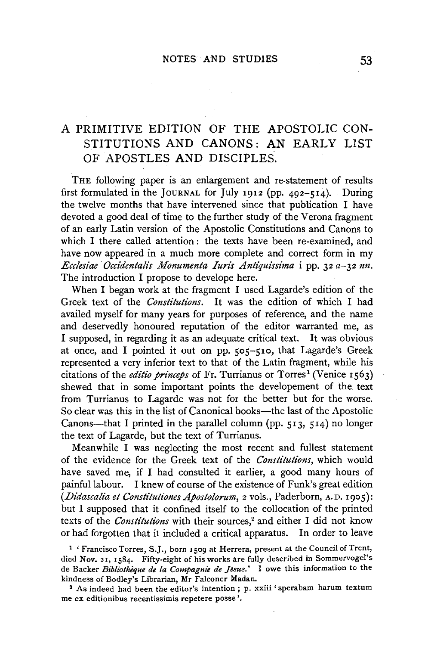# A PRIMITIVE EDITION OF THE APOSTOLIC CON-STITUTIONS AND CANONS: AN EARLY LIST OF APOSTLES AND DISCIPLES.

THE following paper is an enlargement and re-statement of results first formulated in the JouRNAL for July 1912 (pp. 492-514). During the twelve months that have intervened since that publication I have devoted a good deal of time to the further study of the Verona fragment of an early Latin version of the Apostolic Constitutions and Canons to which I there called attention: the texts have been re-examined, and have now appeared in a much more complete and correct form in my *Ecclesiae Occidentalis Monumenta Iuris Antiquissima i pp. 32 a-32 nn.* The introduction I propose to develope here.

When I began work at the fragment I used Lagarde's edition of the Greek text of the *Constitutions.* It was the edition of which I had availed myself for many years for purposes of reference, and the name and deservedly honoured reputation of the editor warranted me, as I supposed, in regarding it as an adequate critical text. It was obvious at once, and I pointed it out on pp. 505-510, that Lagarde's Greek represented a very inferior text to that of the Latin fragment, while his citations of the *editio princeps* of Fr. Turrianus or Torres<sup>1</sup> (Venice 1563) shewed that in some important points the developement of the text from Turrianus to Lagarde was not for the better but for the worse. So clear was this in the list of Canonical books—the last of the Apostolic Canons—that I printed in the parallel column (pp.  $513$ ,  $514$ ) no longer the text of Lagarde, but the text of Turrianus.

Meanwhile I was neglecting the most recent and fullest statement of the evidence for the Greek text of the *Constitutions,* which would have saved me, if I had consulted it earlier, a good many hours of painful labour. I knew of course of the existence of Funk's great edition *(Didascalia et Constitutiones Apostolorum,* 2 vols., Paderborn, A. D. 1905): but I supposed that it confined itself to the collocation of the printed texts of the *Constitutions* with their sources,<sup>2</sup> and either I did not know or had forgotten that it included a critical apparatus. In order to leave

<sup>1</sup> ' Francisco Torres, S.J., born 1509 at Herrera, present at the Council of Trent, died Nov. 21, 1584. Fifty-eight of his works are fully described in Sommervogel's de Backer *Bibliotheque de la Compagnie de Jesus.'* I owe this information to the kindness of Bodley's Librarian, Mr Falconer Madan.

2 As indeed had been the editor's intention ; p. xxiii 'sperabam harum textum me ex editionibus recentissimis repetere posse'.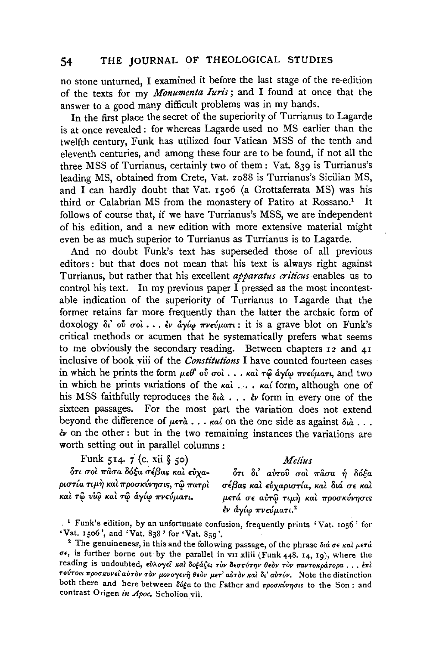no stone unturned, I examined it before the last stage of the re-edition of the texts for my *Monumenta Iun·s;* and I found at once that the answer to a good many difficult problems was in my hands.

In the first place the secret of the superiority of Turrianus to Lagarde is at once revealed : for whereas Lagarde used no MS earlier than the twelfth century, Funk has utilized four Vatican MSS of the tenth and eleventh centuries, and among these four are to be found, if not all the three MSS of Turrianus, certainly two of them: Vat. 839 is Turrianus's leading MS, obtained from Crete, Vat. 2o88 is Turrianus's Sicilian MS, and I can hardly doubt that Vat. 1506 (a Grottaferrata MS) was his third or Calabrian MS from the monastery of Patiro at Rossano.<sup>1</sup> It follows of course that, if we have Turrianus's MSS, we are independent of his edition, and a new edition with more extensive material might even be as much superior to Turrianus as Turrianus is to Lagarde.

And no doubt Funk's text has superseded those of all previous editors : but that does not mean that his text is always right against Turrianus, but rather that his excellent *apparatus criticus* enables us to control his text. In my previous paper I pressed as the most incontestable indication of the superiority of Turrianus to Lagarde that the former retains far more frequently than the latter the archaic form of doxology δι' ού σοι... *εν άγίω πνεύματι*: it is a grave blot on Funk's critical methods or acumen that he systematically prefers what seems to me obviously the secondary reading. Between chapters 12 and 41 inclusive of book viii of the *Constitutions* I have counted fourteen cases in which he prints the form  $\mu \in \theta$ ' ov  $\sigma$ od  $\ldots$  και τω άγίω πνεύματι, and two in which he prints variations of the  $\kappa a \hat{i} \ldots \kappa a \hat{i}$  form, although one of his MSS faithfully reproduces the  $\delta u \Delta \ldots \delta v$  form in every one of the sixteen passages. For the most part the variation does not extend beyond the difference of  $\mu \epsilon \tau \dot{a}$ ...  $\kappa a'$  on the one side as against  $\delta u \dot{a}$ ... *lv* on the other : but in the two remaining instances the variations are worth setting out in parallel columns :

## Funk 514. 7 (c. xii § 50)

## *Melius*

 $\delta$ τι σοι πασα δόξα σέβας και εύγα- $\mu$ ιστία τι $\mu$ ή και προσκύνησις, τ ${\hat \omega}$  πατρι  $\ \kappa$ αί τῷ νίῷ καί τῷ άγίφ πνεύματι.

ότι δι' αυτού σοι πάσα ή δόξα σέβας και εύχαριστία, και διά σε και μετά σε αύτω τιμή και προσκύνησις εν άγίω πνεύματι.<sup>2</sup>

<sup>.</sup> 1 Funk's edition, by an unfortunate confusion, frequently prints 'Vat. 1056' for 'Vat. 1506', and 'Vat. 838' for 'Vat. 839'.<br><sup>2</sup> The genuineness, in this and the following passage, of the phrase  $\delta i \dot{\alpha} \sigma \epsilon \kappa a \dot{\alpha} \mu \epsilon \tau \dot{\alpha}$ 

 $\sigma\epsilon$ , is further borne out by the parallel in vii xliii (Funk 448. 14, 19), where the **reading is undoubted, EVAo-ye't Kat 8o£li(e, T0v BEu7rUT1JV 0E0v Tlw** *'travTo«p&.ropa* ... **ETTL**  Toύτοιs προσκυνεί αύτδν τον μονογενή θεόν μετ' αύτδν και δι' αύτόν. Note the distinction both there and here between δόξα to the Father and *προσκύνησιs* to the Son : and contrast Origen *in Apoc.* Scholion vii.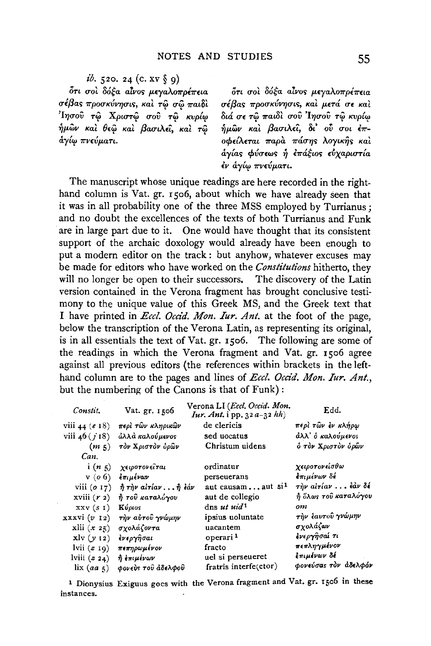$i\delta$ . 520. 24 (c. XV  $\S$  9)

ότι σοι δόξα αίνος μεγαλοπρέπεια  $\sigma$ έβας προσκύνησις, και τω σω παιδι  $i$ Ιησού τ $\hat{\omega}$  Χριστ $\hat{\omega}$  σού τ $\hat{\omega}$  κυρίω  $\eta$ μων και θεω και βασιλεί, και τω  $\delta$ γίω πνεύματι.

ότι σοι δόξα αίνος μεγαλοπρέπεια  $\sigma$ έβας προσκύνησις, και μετά σε και  $\delta$ ιά σε τώ παιδί σού 'Ιησού τώ κυρίω  $\hat{n}$ μων και βασιλεί, δι' ού σοι έπ- $\overline{\phantom{a}}$ οφείλεται παρά πάσης λογικής και  $a\gamma$ ίας φύσεως ή επάξιος εύχαριστία εν αγίω πνεύματι.

The manuscript whose unique readings are here recorded in the righthand column is Vat. gr. r5o6, about which we have already seen that it was in all probability one of the three MSS employed by Turrianus; and no doubt the excellences of the texts of both Turrianus and Funk are in large part due to it. One would have thought that its consistent support of the archaic doxology would already have been enough to put a modern editor on the track : but anyhow, whatever excuses may be made for editors who have worked on the *Constitutions* hitherto, they will no longer be open to their successors. The discovery of the Latin version contained in the Verona fragment has brought conclusive testimony to the unique value of this Greek MS, and the Greek text that I have printed in *Eccl. Occid. Mon. Iur. Ant.* at the foot of the page, below the transcription of the Verona Latin, as representing its original, is in all essentials the text of Vat. gr. r5o6. The following are some of the readings in which the Verona fragment and Vat. gr. rso6 agree against all previous editors (the references within brackets in the lefthand column are to the pages and lines of *Eccl. Occid. Mon. Iur. Ant.*, but the numbering of the Canons is that of Funk):

| Constit.                 | Vat. gr. 1506                                         | Verona LI (Eccl. Occid. Mon.<br>Iur. Ant. i pp. 32 a-32 hh) | Edd.                 |
|--------------------------|-------------------------------------------------------|-------------------------------------------------------------|----------------------|
| viii 44 $(e 18)$         | περὶ τῶν κληρικῶν                                     | de clericis                                                 | περὶ τῶν ἐν κλήρω    |
| viii $46(j18)$           | άλλά καλούμενος                                       | sed uocatus                                                 | άλλ' ο καλούμενος    |
| (m <sub>5</sub> )        | τον Χριστον δρών                                      | Christum uidens                                             | ό τον Χριστον όρων   |
| Can.                     |                                                       |                                                             |                      |
| i(n <sub>5</sub> )       | χειροτονεῖται                                         | ordinatur                                                   | χειροτονείσθω        |
| $v$ ( <i>o</i> 6)        | ξπιμένων                                              | perseuerans                                                 | έπιμένων δέ          |
| viii $(o17)$             | $\hat{\eta}$ r $\hat{\eta}$ ν airíav $\hat{\eta}$ έάν | aut causamaut si <sup>1</sup>                               | την αίτίαν  έαν δέ   |
| xviii $(r2)$             | ή τοῦ καταλόγου                                       | aut de collegio                                             | ή όλως του καταλόγου |
| XXV(SI)                  | Κύριος                                                | dns ut uid <sup>1</sup>                                     | om                   |
| xxxxvi (v 12)            | τὴν αὐτοῦ γνώμην                                      | ipsius uoluntate                                            | την ξαυτού γνώμην    |
| $x$ lii $(x 25)$         | σχολάζοντα                                            | uacantem                                                    | σχολάζων             |
| $x \mid y \mid y \mid z$ | ένεργῆσαι                                             | operari <sup>1</sup>                                        | ένεργησαί τι         |
| lvii $(z 10)$            | πεπηρωμένον                                           | fracto                                                      | πεπληγμένον          |
| lviii $(z_2_4)$          | η επιμένων                                            | uel si perseueret                                           | επιμένων δέ          |
| $\lim_{a \to 5}$         | φονεύς του άδελφου                                    | fratris interfe(ctor)                                       | φονεύσας τον άδελφόν |

<sup>1</sup> Dionysius Exiguus goes with the Verona fragment and Vat. gr. 1506 in these instances.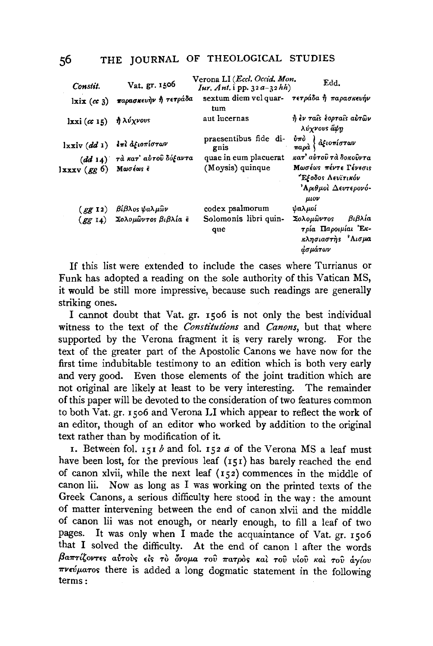| Constit.              | Vat. gr. 1506                 | Verona LI ( <i>Eccl. Occid. Mon.</i><br><i>Iur, Ant.</i> i pp. $32a-32hh$                       | Edd.                                                                                   |
|-----------------------|-------------------------------|-------------------------------------------------------------------------------------------------|----------------------------------------------------------------------------------------|
| $l$ xix $(\alpha 3)$  | παρασκευήν ή τετράδα          | sextum diem vel quar- $\tau \epsilon \tau \rho \acute{a} \delta a \hat{\eta}$ παρασκευήν<br>tum |                                                                                        |
| $lxxi(\alpha 15)$     | ή λύχνους                     | aut lucernas                                                                                    | ή έν ταίς έορταίς αύτων<br>λύγνους άψη                                                 |
| lxxiv (dd 1)          | έπλ αξιοπίστων                | praesentibus fide di-<br>gnis                                                                   | $\frac{\dot{v}\pi\dot{\sigma}}{\pi a\rho\dot{\alpha}}\Big\{d\dot{\xi}$ ιοπίστων        |
|                       | (dd 14) τα κατ' αυτού δόξαντα | quae in eum placuerat                                                                           | κατ' αὐτοῦ τὰ δοκοῦντα                                                                 |
| Ιxxxv (gg 6) Μωσέως έ |                               | (Moysis) quinque                                                                                | Μωσέως πέντε Γένεσις<br>"Εξοδος Λευϊτικόν                                              |
|                       |                               |                                                                                                 | 'Αριθμοὶ Δευτερονό-<br>$\mu\iota$ ov                                                   |
|                       | (gg 12) βίβλος ψαλμών         | codex psalmorum                                                                                 | ψαλμοί                                                                                 |
|                       | (gg 14) Σολομώντος βιβλία ε   | Solomonis libri quin-<br>que                                                                    | Σολομῶντος<br>βιβλία<br>τρία Παροιμίαι Έκ-<br>κλησιαστής <sup>γ</sup> Αισμα<br>άσμάτων |

If this list were extended to include the cases where Turrianus or Funk has adopted a reading on the sole authority of this Vatican MS, it would be still more impressive, because such readings are generally striking ones.

I cannot doubt that Vat. gr. 1506 is not only the best individual witness to the text of the Constitutions and Canons, but that where supported by the Verona fragment it is very rarely wrong. For the text of the greater part of the Apostolic Canons we have now for the first time indubitable testimony to an edition which is both very early and very good. Even those elements of the joint tradition which are not original are likely at least to be very interesting. The remainder of this paper will be devoted to the consideration of two features common to both Vat. gr. 1506 and Verona LI which appear to reflect the work of an editor, though of an editor who worked by addition to the original text rather than by modification of it.

1. Between fol. 151  $b$  and fol. 152  $a$  of the Verona MS a leaf must have been lost, for the previous leaf (151) has barely reached the end of canon xlvii, while the next leaf  $(152)$  commences in the middle of Now as long as I was working on the printed texts of the canon lii. Greek Canons, a serious difficulty here stood in the way: the amount of matter intervening between the end of canon xlvii and the middle of canon lii was not enough, or nearly enough, to fill a leaf of two It was only when I made the acquaintance of Vat. gr. 1506 pages. that I solved the difficulty. At the end of canon I after the words βαπτίζοντες αύτους είς το όνομα του πατρός και του υίου και του άγίου  $\pi\nu\epsilon\acute{\nu}\mu a\tau$  tos there is added a long dogmatic statement in the following  $terms:$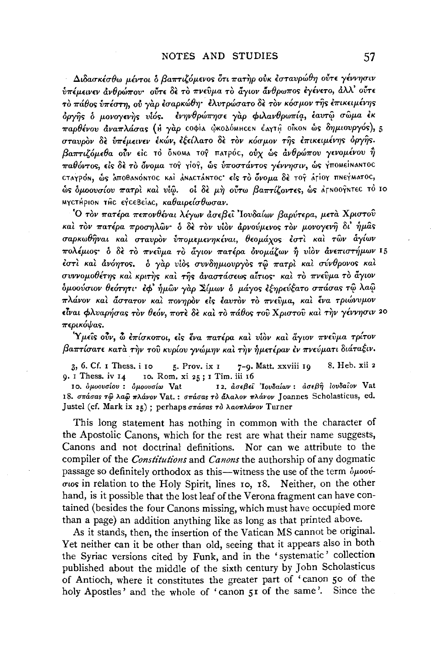Διδασκέσθω μέντοι δ βαπτιζόμενος ότι πατήρ ούκ εσταυρώθη ούτε γέννησιν υπέμεινεν ανθρώπου· ούτε δε το πνεύμα το άγιον άνθρωπος εγένετο, άλλ' ούτε το πάθος υπέστη, ου γαρ έσαρκώθη· έλυτρώσατο δε τον κόσμον της επικειμένης δργής δ μονογενής υίός. ένηνθρώπησε γαρ φιλανθρωπία, έαυτώ σώμα έκ παρθένου άναπλάσας (Η γάρ coφία ώκολόΜΗ σε έλγτη οΐκοΝ ώς δημιουργός), 5 σταυρον δε υπέμεινεν έκών, εξείλατο δε τον κόσμον της επικειμένης όργης. βαπτιζόμεθα ούν είς το όΝοΜΑ τος πατρός, ούχ ως ανθρώπου γενομένου ή παθόντος, είς δε το όνομα το γίοι, ώς υποστάντος γέννησιν, ώς γπομείμαμτος CTAYPON, ώς ΑΠΟθΑΝΟΝΤΟΣ ΚΑΙ ΑΝΑΣΤΑΝΤΟΣ είς το όνομα δε τος ΑΓΙΟΥ ΠΝΕΥΜΑΤΟΣ, ώς όμοουσίου πατρί και νίω. οι δε μή ούτω βαπτίζοντες, ως άγΝοογΝτες το 10 ΜΥΣΤΗΡΙΟΝ ΤΗΣ ΕΥΣΕΒΕΙΑΣ, καθαιρείσθωσαν.

Ο τον πατέρα πεπονθέναι λέγων άσεβει Ιουδαίων βαρύτερα, μετά Χριστού καί τον πατέρα προσηλών· ο δε τον υίον αρνούμενος τον μονογενή δι' ήμας σαρκωθήναι και σταυρον υπομεμενηκέναι, θεομάχος έστι και των άγίων πολέμιος ο δε το πνεύμα το άγιον πατέρα ονομάζων ή υίον ανεπιστήμων 15 έστι και ανόητος. δ γαρ υίος συνδημιουργος τω πατρι και σύνθρονος και συννομοθέτης και κριτης και της αναστάσεως αίτιος· και το πνεύμα το άγιον δμοούσιον θεότητι· έφ' ήμων γαρ Σίμων δ μάγος εξηρεύξατο σπάσας τω λαώ πλάνον και άστατον και πονηρον είς έαυτον το πνεύμα, και ένα τριώνυμον είναι φλυαρήσας τον θεόν, ποτέ δε και το πάθος του Χριστού και την γέννησιν 20 περικόψας.

Ύμεῖς οὖν, ὦ ἐπίσκοποι, εἰς ἕνα πατέρα καὶ νἱὸν καὶ ἄγιον πνεῦμα τρίτον βαπτίσατε κατά την του κυρίου γνώμην και την ήμετέραν έν πνεύματι διάταξιν.

5. Prov. ix  $I$ 8. Heb. xii 2  $3, 6$ . Cf. I Thess, i ro 7-9. Matt. xxviii 19  $9.1$  Thess. iv  $14$ 10. Rom. xi 25; 1 Tim. iii 16

12. ασεβεί 'Ιουδαίων: ασεβή ιουδαίον Vat 10. δμοουσίου: δμοουσίω Vat 18. σπάσας τω λαώ πλάνον Vat.: σπάσας το άλαλον πλάνον Joannes Scholasticus, ed. Justel (cf. Mark ix 25) ; perhaps σπάσας το λαοπλάνον Turner

This long statement has nothing in common with the character of the Apostolic Canons, which for the rest are what their name suggests, Canons and not doctrinal definitions. Nor can we attribute to the compiler of the *Constitutions* and *Canons* the authorship of any dogmatic passage so definitely orthodox as this—witness the use of the term *opoov*σιος in relation to the Holy Spirit, lines 10, 18. Neither, on the other hand, is it possible that the lost leaf of the Verona fragment can have contained (besides the four Canons missing, which must have occupied more than a page) an addition anything like as long as that printed above.

As it stands, then, the insertion of the Vatican MS cannot be original. Yet neither can it be other than old, seeing that it appears also in both the Syriac versions cited by Funk, and in the 'systematic' collection published about the middle of the sixth century by John Scholasticus of Antioch, where it constitutes the greater part of 'canon 50 of the holy Apostles' and the whole of 'canon 51 of the same'. Since the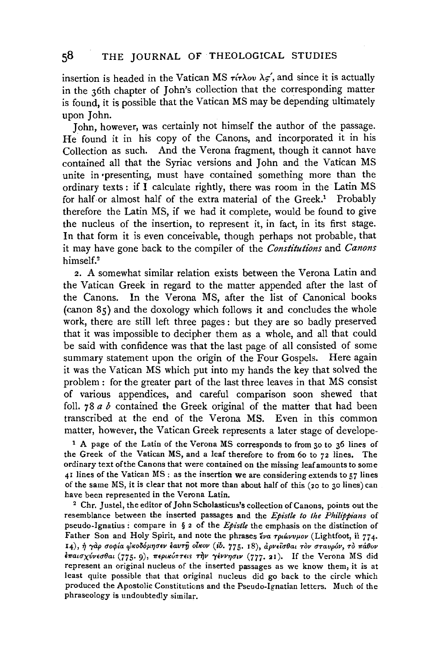insertion is headed in the Vatican MS  $\tau \xi \to \lambda \sigma \nu$ , and since it is actually in the 36th chapter of John's collection that the corresponding matter is found, it is possible that the Vatican MS may be depending ultimately upon John.

John, however, was certainly not himself the author of the passage. He found it in his copy of the Canons, and incorporated it in his Collection as such. And the Verona fragment, though it cannot have contained all that the Syriac versions and John and the Vatican MS unite in •presenting, must have contained something more than the ordinary texts : if I calculate rightly, there was room in the Latin MS for half or almost half of the extra material of the Greek.<sup>1</sup> Probably therefore the Latin MS, if we had it complete, would be found to give the nucleus of the insertion, to represent it, in fact, in its first stage. In that form it is even conceivable, though perhaps not probable, that it may have gone back to the compiler of the *Constitutions* and *Canons*  himself.2

2. A somewhat similar relation exists between the Verona Latin and the Vatican Greek in regard to the matter appended after the last of the Canons. In the Verona MS, after the list of Canonical books (canon 85) and the doxology which follows it and concludes the whole work, there are still left three pages : but they are so badly preserved that it was impossible to decipher them as a whole, and all that could be said with confidence was that the last page of all consisted of some summary statement upon the origin of the Four Gospels. Here again it was the Vatican MS which put into my hands the key that solved the problem : for the greater part of the last three leaves in that MS consist of various appendices, and careful comparison soon shewed that foil. 78 *a b* contained the Greek original of the matter that had been transcribed at the end of the Verona MS. Even in this common matter, however, the Vatican Greek represents a later stage of develope-

1 A page of the Latin of the Verona MS corresponds to from 30 to 36 lines of the Greek of the Vatican MS, and a leaf therefore to from 6o to 72 lines. The ordinary text of the Canons that were contained on the missing leaf amounts to some  $41$  lines of the Vatican MS : as the insertion we are considering extends to  $57$  lines of the same MS, it is clear that not more than about half of this (20 to 30 lines) can have been represented in the Verona Latin.<br><sup>2</sup> Chr. Justel, the editor of John Scholasticus's collection of Canons, points out the

resemblance between the inserted passages and the *Epistle to the Philippians* of pseudo-Ignatius : compare in § 2 of the *Epistle* the emphasis on the distinction of Father Son and Holy Spirit, and note the phrases  $\epsilon_{\nu\alpha}$   $\tau_{\rho\iota\omega\nu\nu\rho\rho\nu}$  (Lightfoot, ii 774. 14), ή γαρ σοφία φκοδόμησεν έαυτη οίκον (ib. 775. 18), αρνείσθαι τον σταυρόν, το πάθον έπαισχύνεσθαι (775. 9), περικύπτεις την γέννησιν (777. 21). If the Verona MS did represent an original nucleus of the inserted passages as we know them, it is at least quite possible that that original nucleus did go back to the circle which produced the Apostolic Constitutions and the Pseudo-lgnatian letters. Much of the phraseology is undoubtedly similar.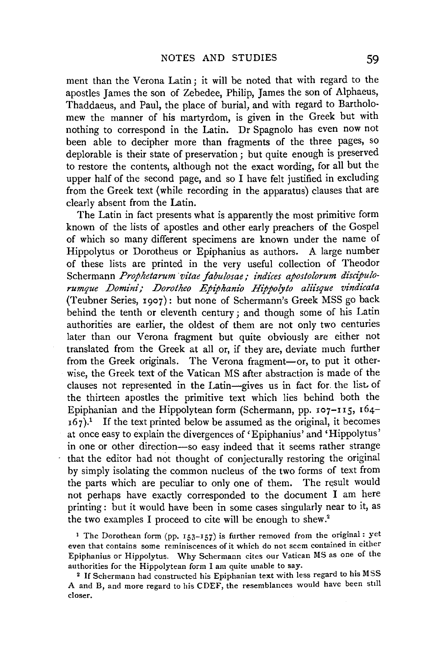ment than the Verona Latin; it will be noted that with regard to the apostles James the son of Zebedee, Philip, James the son of Alphaeus, Thaddaeus, and Paul, the place of burial, and with regard to Bartholomew the manner of his martyrdom, is given in the Greek but with nothing to correspond in the Latin. Dr Spagnolo has even now not been able to decipher more than fragments of the three pages, so deplorable is their state of preservation; but quite enough is preserved to restore the contents, although not the exact wording, for all but the upper half of the second page, and so I have felt justified in excluding from the Greek text (while recording in the apparatus) clauses that are clearly absent from the Latin.

The Latin in fact presents what is apparently the most primitive form known of the lists of apostles and other early preachers of the Gospel of which so many different specimens are known under the name of Hippolytus or Dorotheus or Epiphanius as authors. A large number of these lists are printed in the very useful collection of Theodor Schermann Prophetarum vitae fabulosae; indices apostolorum discipulo*rumque Domini,· Dorotheo Epiphanio Hijpolyto aliisque vindicata*  (Teubner Series, 1907): but none of Schermann's Greek MSS go back behind the tenth or eleventh century; and though some of his Latin authorities are earlier, the oldest of them are not only two centuries later than our Verona fragment but quite obviously are either not translated from the Greek at all or, if they are, deviate much further from the Greek originals. The Verona fragment-or, to put it otherwise, the Greek text of the Vatican MS after abstraction is made of the clauses not represented in the Latin-gives us in fact for the list. of the thirteen apostles the primitive text which lies behind both the Epiphanian and the Hippolytean form (Schermann, pp. 107-II5, I64-  $167$ ).<sup>1</sup> If the text printed below be assumed as the original, it becomes at once easy to explain the divergences of 'Epiphanius' and 'Hippolytus' in one or other direction-so easy indeed that it seems rather strange that the editor had not thought of conjecturally restoring the original by simply isolating the common nucleus of the two forms of text from the parts which are peculiar to only one of them. The result would not perhaps have exactly corresponded to the document I am here printing : but it would have been in some cases singularly near to it, as the two examples I proceed to cite will be enough to shew.<sup>2</sup>

<sup>1</sup> The Dorothean form (pp. 153-157) is further removed from the original: yet even that contains some reminiscences of it which do uot seem contained in either Epiphanius or Hippolytus. Why Schermann cites our Vatican MS as one of the

authorities for the Hippolytean form I am quite unable to say. 2 If Schermann had constructed his Epiphanian text with less regard to his MSS A and B, and more regard to his CDEF, the resemblances would have been still closer.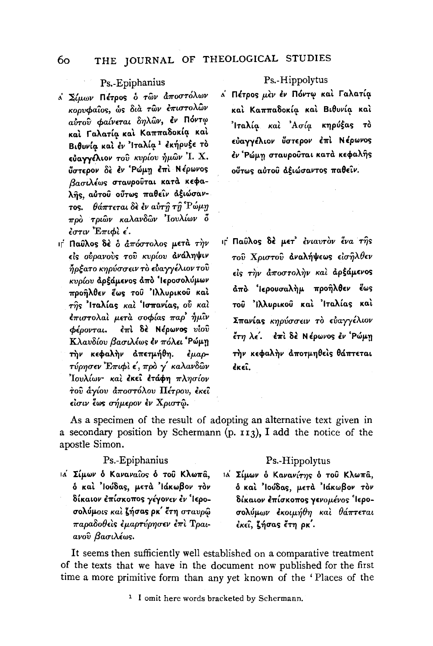#### THE JOURNAL OF THEOLOGICAL STUDIES 60

## Ps.-Epiphanius

- <sup>λ</sup> Σίμων Πέτρος δ των άποστόλων κορυφαΐος, ώς διά των επιστολών αύτου φαίνεται δηλών, έν Πόντω καί Γαλατία και Καππαδοκία και Βιθυνία και έν Ίταλία<sup>1</sup> εκήρυξε το εύαγγέλιον του κυρίου ήμων 'Ι. Χ. ΰστερον δε έν Ρώμη έπι Νέρωνος βασιλέως σταυρούται κατά κεφαλής, αὐτοῦ οῦτως παθείν αξιώσαντος.  $\theta$ άπτεται δε έν αύτ $\hat{\eta}$  τ $\hat{\eta}$  'Ρώμη πρὸ τριῶν καλανδῶν Ἰουλίων ὅ  $\epsilon$ στιν Επιφίε.
- ιτ Παύλος δέ ο άπόστολος μετά την είς ούρανούς του κυρίου ανάληψιν ἦρξατο κηρύσσειν τὸ εὐαγγέλιον τοῦ κυρίου αρξάμενος από 'Ιεροσολύμων προήλθεν έως του 'Ιλλυρικού καί της Ίταλίας και Ίσπανίας, ού και έπιστολαί μετά σοφίας παρ' ήμίν έπι δέ Νέρωνος υίου φέρονται. Κλαυδίου βασιλέως έν πόλει Ρώμη τήν κεφαλήν απετμήθη.  $\epsilon \mu a \rho$ τύρησεν Έπιφι ε΄, προ γ΄ καλανδών Ίουλίων· και έκει ετάφη πλησίον του άγίου αποστόλου Πέτρου, έκει είσιν έως σήμερον έν Χριστώ.

Ps. Hippolytus

α Πέτρος μέν έν Πόντω και Γαλατία και Καππαδοκία και Βιθυνία και Ίταλία και Ασία κηρύξας το εύαγγέλιον ύστερον έπι Νέρωνος έν Ρώμη σταυρούται κατά κεφαλής ούτως αύτου αξιώσαντος παθείν.

ις Παύλος δέ μετ' ένιαυτον ένα της τού Χριστού αναλήψεως είσηλθεν είς την άποστολήν και αρξάμενος άπο 'Ιερουσαλήμ προήλθεν έως του Ιλλυρικού και Ιταλίας και Σπανίας κηρύσσειν το ευαγγέλιον έτη λε'. έπι δε Νέρωνος εν 'Ρώμη τήν κεφαλήν αποτμηθείς θάπτεται  $\epsilon$ K $\epsilon$ î.

As a specimen of the result of adopting an alternative text given in a secondary position by Schermann  $(p. 113)$ , I add the notice of the apostle Simon.

## Ps.-Epiphanius

ια Σίμων ο Καναναΐος ο του Κλωπά, δ και 'Ιούδας, μετά 'Ιάκωβον τον δίκαιον επίσκοπος γέγονεν εν Ίεροσολύμοις και ζήσας ρκ' έτη σταυρώ παραδοθείς έμαρτύρησεν έπι Τραιανού βασιλέως.

## Ps.-Hippolytus

ια Σίμων ο Κανανίτης ο του Κλωπα, δ και 'Ιούδας, μετά 'Ιάκωβον τον δίκαιον έπίσκοπος γενομένος 'Ιεροσολύμων έκοιμήθη και θάπτεται έκει, ζήσας έτη ρκ΄.

It seems then sufficiently well established on a comparative treatment of the texts that we have in the document now published for the first time a more primitive form than any yet known of the 'Places of the

<sup>1</sup> I omit here words bracketed by Schermann.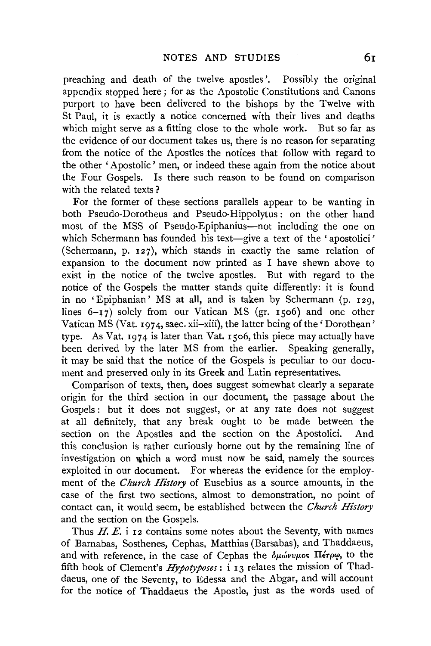preaching and death of the twelve apostles'. Possibly the original appendix stopped here; for as the Apostolic Constitutions and Canons purport to have been delivered to the bishops by the Twelve with St Paul, it is exactly a notice concerned with their lives and deaths which might serve as a fitting close to the whole work. But so far as the evidence of our document takes us, there is no reason for separating from the notice of the Apostles the notices that follow with regard to the other 'Apostolic' men, or indeed these again from the notice about the Four Gospels. Is there such reason to be found on comparison with the related texts?

For the former of these sections parallels appear to be wanting in both Pseudo-Dorotheus and Pseudo-Hippolytus: on the other hand most of the MSS of Pseudo-Epiphanius-not including the one on which Schermann has founded his text-give a text of the 'apostolici' (Schermann, p. 127), which stands in exactly the same relation of expansion to the document now printed as I have shewn above to exist in the notice of the twelve apostles. But with regard to the notice of the Gospels the matter stands quite differently: it is found in no 'Epiphanian' MS at all, and is taken by Schermann (p. 129, lines  $6-\frac{17}{2}$  solely from our Vatican MS (gr. 1506) and one other Vatican  $\overline{MS}$  (Vat. 1974, saec. xii-xiii), the latter being of the 'Dorothean' type. As Vat.  $1974$  is later than Vat. 1506, this piece may actually have been derived by the later MS from the earlier. Speaking generally, it may be said that the notice of the Gospels is peculiar to our document and preserved only in its Greek and Latin representatives.

Comparison of texts, then, does suggest somewhat clearly a separate origin for the third section in our document, the passage about the Gospels : but it does not suggest, or at any rate does not suggest at all definitely, that any break ought to be made between the section on the Apostles and the section on the Apostolici. And this conclusion is rather curiously borne out by the remaining line of investigation on which a word must now be said, namely the sources exploited in our document. For whereas the evidence for the employment of the *Church History* of Eusebius as a source amounts, in the case of the first two sections, almost to demonstration, no point of contact can, it would seem, be established between the *Church History*  and the section on the Gospels.

Thus  $H. E.$  i 12 contains some notes about the Seventy, with names of Barnabas, Sosthenes, Cephas, Matthias (Barsabas), and Thaddaeus, and with reference, in the case of Cephas the  $\delta\mu\omega\nu\nu\mu$ os *II érpo*, to the fifth book of Clement's *Hypotyposes:* i 13 relates the mission of Thaddaeus, one of the Seventy, to Edessa and the Abgar, and will account for the notice of Thaddaeus the Apostle, just as the words used of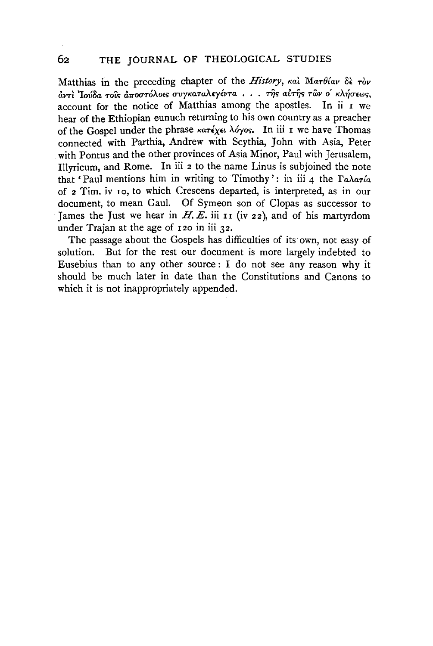Matthias in the preceding chapter of the *History*, και Ματθίαν δε τον *avτι 'Ιούδα τοιs αποστόλοιs συγκαταλεγέντα ... της αυτης των ο' κλήσεως.* account for the notice of Matthias among the apostles. In ii I we hear of the Ethiopian eunuch returning to his own country as a preacher of the Gospel under the phrase *KaTexn* Myos. In iii r we have Thomas connected with Parthia, Andrew with Scythia, John with Asia, Peter with Pontus and the other provinces of Asia Minor, Paul with Jerusalem. Illyricum, and Rome. In iii 2 to the name Linus is subjoined the note that ' Paul mentions him in writing to Timothy ' : in iii 4 the *raAaT{a*  of 2 Tim. iv Io, to which Crescens departed, is interpreted, as in our document, to mean Gaul. Of Symeon son of Clopas as successor to Tames the Just we hear in  $H.E.$  iii 11 (iv 22), and of his martyrdom under Trajan at the age of 120 in iii 32.

The passage about the Gospels has difficulties of its own, not easy of solution. But for the rest our document is more largely indebted to Eusebius than to any other source : I do not see any reason why it should be much later in date than the Constitutions and Canons to which it is not inappropriately appended.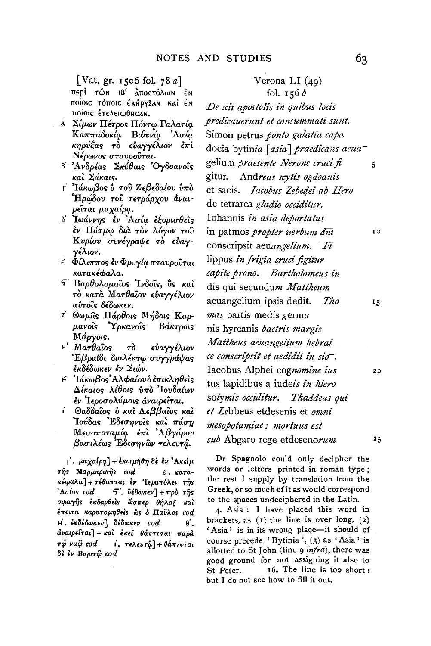[Vat. gr. 1506 fol. 78 a]

περί τών 18' άποςτόλων έν ποίοις τόποις έκήργξαν και έν ποίοις έτελειώθης αΝ.

- <sup>λ</sup> Σίμων Πέτρος Πόντω Γαλατία Καππαδοκία Βιθυνία Ασία κηρύξας τὸ εὐαγγέλιον ἐπὶ Νέρωνος σταυρούται.
- Β΄ Ανδρέας Σκύθαις Όγδοανοΐς και Σάκαις.
- τ' 'Ιάκωβος δ του Ζεβεδαίου υπο Ήρώδου του τετράρχου άναιρείται μαχαίρα.
- Δ' Ιωάννης εν Ασία εξορισθείς έν Πάτμω διά τον λόγον του Κυρίου συνέγραψε το εύαγγέλιον.
- ε' Φίλιππος έν Φρυγία σταυρούται κατακέφαλα.
- 5' Βαρθολομαΐος Ίνδοΐς, δς και τό κατά Ματθαΐον εύαγγέλιον αύτοις δέδωκεν.
- <sup>z'</sup> Θωμάς Πάρθοις Μήδοις Καρμανοΐς Ύρκανοΐς Βάκτροις Μάργοις.
- $H'$  Mar $\theta$ aios  $\tau$ ò εύαγγέλιον Εβραΐδι διαλέκτω συγγράψας έκδέδωκεν ἐν Σιών.
- ⊎ ' Ἰάκωβος' Αλφαίου ὁ ἐπικληθεὶς Δίκαιος λίθοις υπό Ιουδαίων έν Ίεροσολύμοις αναιρείται.
- Θαδδαΐος ὁ καὶ Λεββαΐος καὶ ŕ. Ίούδας Εδεσηνοΐς και πάση Μεσοποταμία έπι Αβγάρου βασιλέως Έδεσηνὣν τελευτά.

Γ. μαχαίρα] + εκοιμήθη δε εν 'Ακείμ της Μαρμαρικής cod  $\epsilon$ .  $\kappa$ araκέφαλα]+τέθαπται έν Ίεραπόλει της 'Aoías cod  $\mathcal{F}'$ . δέδωκεν] + πρὸ τῆς σφαγής εκδαρθείς ώσπερ θήλαξ καί έπειτα καρατομηθείς ως ο Παύλος cod Η. εκδέδωκεν] δέδωκεν cod θ.  $d$ ναιρείται] + και εκεί θάπτεται παρα τφ ναφ cod ί. τελευτα] + θάπτεται δε έν Βυριτώ cod

## Verona LI  $(49)$ fol.  $156b$

De xii apostolis in quibus locis predicauerunt et consummati sunt. Simon petrus ponto galatia capa docia bytinia [asia] praedicans aeuagelium praesente Nerone cruci fi  $\overline{5}$ gitur. Andreas scytis ogdoanis et sacis. *Iacobus Zebedei ab Hero* de tetrarca gladio occiditur. Iohannis in asia deportatus in patmos *propter uerbum dni* IO. conscripsit aeuangelium. Fi lippus in frigia cruci figitur capite prono. Bartholomeus in dis qui secundum Mattheum aeuangelium ipsis dedit. Tho  $15$ mas partis medis germa nis hyrcanis bactris margis. Mattheus aeuangelium hebrai ce conscripsit et aedidit in sio-. Iacobus Alphei cognomine ius tus lapidibus a iudeis in hiero solymis occiditur. Thaddeus qui et Lebbeus etdesenis et omni mesopotamiae: mortuus est sub Abgaro rege etdesenorum  $2.5$ 

Dr Spagnolo could only decipher the words or letters printed in roman type; the rest I supply by translation from the Greek, or so much of it as would correspond to the spaces undeciphered in the Latin.

4. Asia: I have placed this word in brackets, as  $(I)$  the line is over long,  $(2)$ 'Asia' is in its wrong place-it should of course precede 'Bytinia', (3) as 'Asia' is allotted to St John (line 9 infra), there was good ground for not assigning it also to 16. The line is too short: St Peter. but I do not see how to fill it out.

30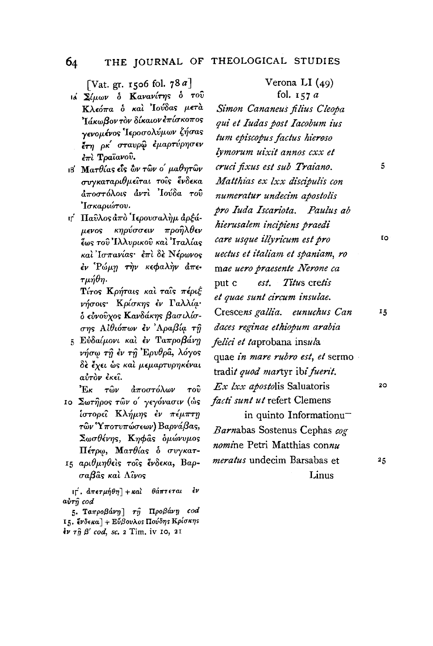[Vat. gr. 1506 fol.  $78a$ ]

- ιά Σίμων δ Κανανίτης δ του Κλεόπα ο και Ιούδας μετα Τάκωβον τον δίκαιον επίσκοπος γενομένος 'Ιεροσολύμων ζήσας έτη ρκ' σταυρώ εμαρτύρησεν  $\epsilon_{\pi\lambda}$  Τραϊανού.
- ιΒ΄ Ματθίας είς ὢν τῶν ο΄ μαθητῶν συγκαταριθμείται τοίς ένδεκα άποστόλοις άντι 'Ιούδα του Ίσκαριώτου.
- ιτ΄ Παῦλος ἀπὸ Ἱερουσαλὴμ ἀρξάμενος κηρύσσειν προῆλθεν ἔως τοῦ Ἰλλυρικοῦ καὶ Ἰταλίας καὶ Ἰσπανίας· ἐπὶ δὲ Νέρωνος έν Ρώμη την κεφαλήν άπε- $\tau\mu\acute{\eta}\theta\eta.$

Τίτος Κρήταις και ταις πέριξ νήσοις· Κρίσκης έν Γαλλία· δ εύνουχος Κανδάκης βασιλίσσης Αιθιόπων έν Αραβία τη

5 Εύδαίμονι και εν Ταπροβάνη νήσω τη έν τη Έρυθρα, λόγος δε έχει ως και μεμαρτυρηκέναι αύτον έκει.

Έĸ  $\tau$ ŵ $\nu$ άποστόλων  $\tau$ o $\hat{v}$ 

- 10 Σωτήρος τών ο' γεγόνασιν (ώς ίστορεί Κλήμης έν πέμπτη τῶν Ύποτυπώσεων) Βαρνάβας, Σωσθένης, Κηφας δμώνυμος Πέτρω, Ματθίας ο συγκατ-
- 15 αριθμηθείς τοίς ένδεκα, Βαρσαβας και Λίνος

 $\overrightarrow{n}$ , άπετμήθη] + και θάπτεται έν  $a\dot{v}\tau\hat{y}$  cod

fol.  $157a$ Simon Cananeus filius Cleopa qui et Iudas post Iacobum ius tum episcopus factus hieroso lymorum uixit annos cxx et cruci fixus est sub Traiano. Matthias ex lxx discipulis con numeratur undecim apostolis pro Iuda Iscariota. Paulus ab hierusalem incipiens praedi care usque illyricum est pro uectus et italiam et spaniam, ro mae uero praesente Nerone ca est. Titus cretis put c et quae sunt circum insulae. Crescens gallia. eunuchus Can daces reginae ethiopum arabia felici et taprobana insula quae in mare rubro est, et sermo tradit quod martyr ibi fuerit. Ex lxx apostolis Saluatoris facti sunt ut refert Clemens in quinto Informationu-Barnabas Sostenus Cephas cog

Verona LI  $(49)$ 

nomine Petri Matthias connu meratus undecim Barsabas et Linus

5

**IO** 

15

 $20<sub>o</sub>$ 

 $25$ 

## 64

<sup>5.</sup> Ταπροβάνη] τη Προβάνη cod 15. ξνδεκα] + Εύβουλος Πούδης Κρίσκης  $\frac{2}{3} \nu \tau \hat{\eta} \beta'$  cod, sc. 2 Tim. iv 10, 21